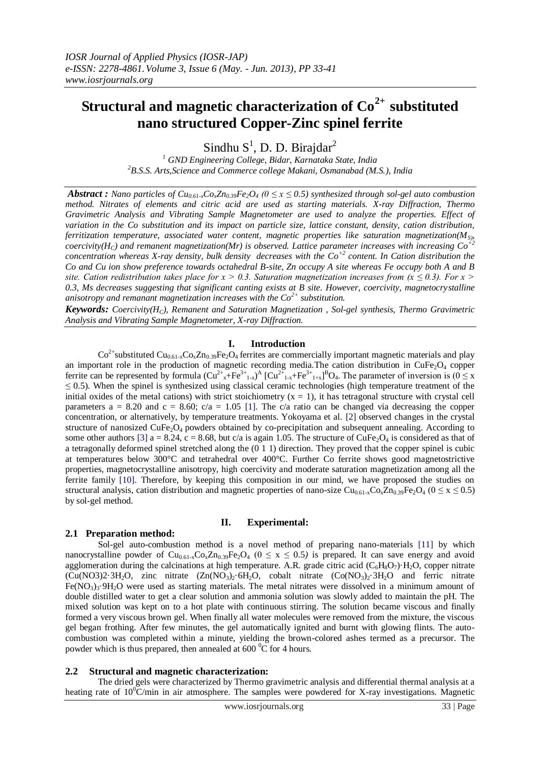# **Structural and magnetic characterization of Co2+ substituted nano structured Copper-Zinc spinel ferrite**

Sindhu  $S^1$ , D. D. Birajdar<sup>2</sup>

*<sup>1</sup> GND Engineering College, Bidar, Karnataka State, India <sup>2</sup>B.S.S. Arts,Science and Commerce college Makani, Osmanabad (M.S.), India*

*Abstract : Nano particles of*  $Cu_{0.61-x}Co_xZn_{0.39}Fe_2O_4$  *(0*  $\leq$  *x*  $\leq$  *0.5) synthesized through sol-gel auto combustion method. Nitrates of elements and citric acid are used as starting materials. X-ray Diffraction, Thermo Gravimetric Analysis and Vibrating Sample Magnetometer are used to analyze the properties. Effect of variation in the Co substitution and its impact on particle size, lattice constant, density, cation distribution, ferritization temperature, associated water content, magnetic properties like saturation magnetization(MS), coercivity*( $H_C$ ) and remanent magnetization(Mr) is observed. Lattice parameter increases with increasing  $Co^+$ *concentration whereas X-ray density, bulk density decreases with the Co+2 content. In Cation distribution the Co and Cu ion show preference towards octahedral B-site, Zn occupy A site whereas Fe occupy both A and B site. Cation redistribution takes place for*  $x > 0.3$ *. Saturation magnetization increases from (x*  $\leq 0.3$ *). For x > 0.3, Ms decreases suggesting that significant canting exists at B site. However, coercivity, magnetocrystalline anisotropy and remanant magnetization increases with the Co2+ substitution.* 

*Keywords: Coercivity(HC), Remanent and Saturation Magnetization , Sol-gel synthesis, Thermo Gravimetric Analysis and Vibrating Sample Magnetometer, X-ray Diffraction.*

## **I. Introduction**

 $Co^{2+}$ substituted  $Cu_{0.61-x}Co_{x}Zn_{0.39}Fe_{2}O_{4}$  ferrites are commercially important magnetic materials and play an important role in the production of magnetic recording media. The cation distribution in  $CuFe<sub>2</sub>O<sub>4</sub>$  copper ferrite can be represented by formula  $(Cu^{2+}x + Fe^{3+}1-x)^A$   $[Cu^{2+}1-x + Fe^{3+}1+x]$ <sup>B</sup>O<sub>4</sub>. The parameter of inversion is  $(0 \le x$ *≤* 0.5). When the spinel is synthesized using classical ceramic technologies (high temperature treatment of the initial oxides of the metal cations) with strict stoichiometry  $(x = 1)$ , it has tetragonal structure with crystal cell parameters  $a = 8.20$  and  $c = 8.60$ ;  $c/a = 1.05$  [1]. The c/a ratio can be changed via decreasing the copper concentration, or alternatively, by temperature treatments. Yokoyama et al. [2] observed changes in the crystal structure of nanosized  $CuFe<sub>2</sub>O<sub>4</sub>$  powders obtained by co-precipitation and subsequent annealing. According to some other authors [3] a = 8.24, c = 8.68, but c/a is again 1.05. The structure of CuFe<sub>2</sub>O<sub>4</sub> is considered as that of a tetragonally deformed spinel stretched along the (0 1 1) direction. They proved that the copper spinel is cubic at temperatures below 300°C and tetrahedral over 400°C. Further Co ferrite shows good magnetostrictive properties, magnetocrystalline anisotropy, high coercivity and moderate saturation magnetization among all the ferrite family [10]. Therefore, by keeping this composition in our mind, we have proposed the studies on structural analysis, cation distribution and magnetic properties of nano-size Cu<sub>0.61-x</sub>Co<sub>x</sub>Zn<sub>0.39</sub>Fe<sub>2</sub>O<sub>4</sub> (0 ≤ x ≤ 0.5) by sol-gel method.

## **II. Experimental:**

## **2.1 Preparation method:**

Sol-gel auto-combustion method is a novel method of preparing nano-materials [11] by which nanocrystalline powder of  $Cu_{0.61-x}Co_xZn_{0.39}Fe_2O_4$  ( $0 \le x \le 0.5$ ) is prepared. It can save energy and avoid agglomeration during the calcinations at high temperature. A.R. grade citric acid ( $C_6H_8O_7$ )·H<sub>2</sub>O, copper nitrate  $(Cu(NO3)2.3H<sub>2</sub>O, zinc nitrate (Zn(NO<sub>3</sub>)<sub>2</sub>.6H<sub>2</sub>O, cobalt nitrate (Co(NO<sub>3</sub>)<sub>2</sub>.3H<sub>2</sub>O and ferric nitrate)$  $Fe(NO<sub>3</sub>)<sub>3</sub>·9H<sub>2</sub>O$  were used as starting materials. The metal nitrates were dissolved in a minimum amount of double distilled water to get a clear solution and ammonia solution was slowly added to maintain the pH. The mixed solution was kept on to a hot plate with continuous stirring. The solution became viscous and finally formed a very viscous brown gel. When finally all water molecules were removed from the mixture, the viscous gel began frothing. After few minutes, the gel automatically ignited and burnt with glowing flints. The autocombustion was completed within a minute, yielding the brown-colored ashes termed as a precursor. The powder which is thus prepared, then annealed at  $600\degree$ C for 4 hours.

#### **2.2 Structural and magnetic characterization:**

The dried gels were characterized by Thermo gravimetric analysis and differential thermal analysis at a heating rate of  $10^{0}$ C/min in air atmosphere. The samples were powdered for X-ray investigations. Magnetic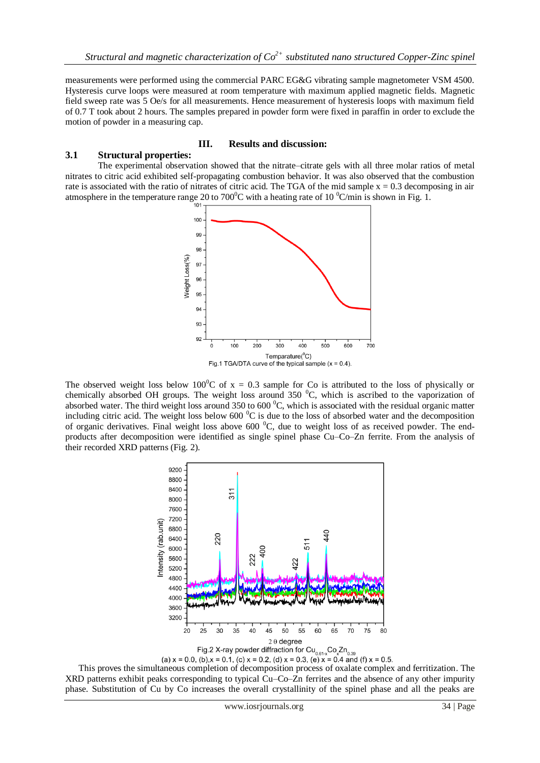measurements were performed using the commercial PARC EG&G vibrating sample magnetometer VSM 4500. Hysteresis curve loops were measured at room temperature with maximum applied magnetic fields. Magnetic field sweep rate was 5 Oe/s for all measurements. Hence measurement of hysteresis loops with maximum field of 0.7 T took about 2 hours. The samples prepared in powder form were fixed in paraffin in order to exclude the motion of powder in a measuring cap.

## **III. Results and discussion:**

#### **3.1 Structural properties:**

The experimental observation showed that the nitrate–citrate gels with all three molar ratios of metal nitrates to citric acid exhibited self-propagating combustion behavior. It was also observed that the combustion rate is associated with the ratio of nitrates of citric acid. The TGA of the mid sample  $x = 0.3$  decomposing in air atmosphere in the temperature range 20 to 700<sup>°</sup>C with a heating rate of 10<sup>°</sup>C/min is shown in Fig. 1.



The observed weight loss below 100<sup>o</sup>C of  $x = 0.3$  sample for Co is attributed to the loss of physically or chemically absorbed OH groups. The weight loss around 350  $^{\circ}$ C, which is ascribed to the vaporization of absorbed water. The third weight loss around 350 to 600  $^{\circ}$ C, which is associated with the residual organic matter including citric acid. The weight loss below  $600<sup>0</sup>C$  is due to the loss of absorbed water and the decomposition of organic derivatives. Final weight loss above 600  $^{0}C$ , due to weight loss of as received powder. The endproducts after decomposition were identified as single spinel phase Cu–Co–Zn ferrite. From the analysis of their recorded XRD patterns (Fig. 2).



(a)  $x = 0.0$ , (b), $x = 0.1$ , (c)  $x = 0.2$ , (d)  $x = 0.3$ , (e)  $x = 0.4$  and (f)  $x = 0.5$ .<br>This proves the simultaneous completion of decomposition process of oxalate complex and ferritization. The XRD patterns exhibit peaks corresponding to typical Cu–Co–Zn ferrites and the absence of any other impurity phase. Substitution of Cu by Co increases the overall crystallinity of the spinel phase and all the peaks are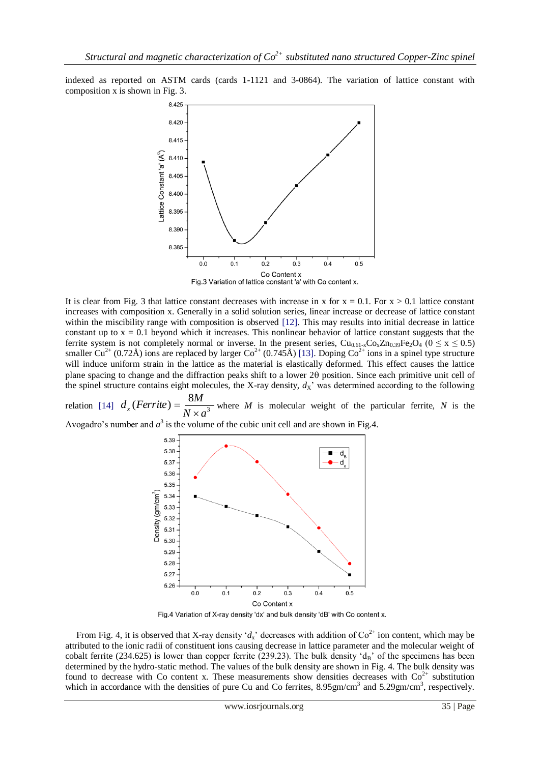indexed as reported on ASTM cards (cards 1-1121 and 3-0864). The variation of lattice constant with composition x is shown in Fig. 3.



It is clear from Fig. 3 that lattice constant decreases with increase in x for  $x = 0.1$ . For  $x > 0.1$  lattice constant increases with composition x. Generally in a solid solution series, linear increase or decrease of lattice constant within the miscibility range with composition is observed [12]. This may results into initial decrease in lattice constant up to  $x = 0.1$  beyond which it increases. This nonlinear behavior of lattice constant suggests that the ferrite system is not completely normal or inverse. In the present series,  $Cu_{0.61-x}Co_xZn_{0.39}Fe_2O_4$  ( $0 \le x \le 0.5$ ) smaller Cu<sup>2+</sup> (0.72Å) ions are replaced by larger Co<sup>2+</sup> (0.745Å) [13]. Doping Co<sup>2+</sup> ions in a spinel type structure will induce uniform strain in the lattice as the material is elastically deformed. This effect causes the lattice plane spacing to change and the diffraction peaks shift to a lower 20 position. Since each primitive unit cell of the spinel structure contains eight molecules, the X-ray density,  $d_X$ <sup>'</sup> was determined according to the following

relation [14]  $d_x(Ferrite) = \frac{1}{N_x}$  $(Ferrite) = \frac{8}{15}$  $d_x$  (*Ferrite*) =  $\frac{8M}{N \times a}$  $=\frac{6M}{N}$  where *M* is molecular weight of the particular ferrite, *N* is the

Avogadro's number and  $a^3$  is the volume of the cubic unit cell and are shown in Fig.4.



Fig.4 Variation of X-ray density 'dx' and bulk density 'dB' with Co content x.

From Fig. 4, it is observed that X-ray density ' $d_x$ ' decreases with addition of  $\text{Co}^{2+}$  ion content, which may be attributed to the ionic radii of constituent ions causing decrease in lattice parameter and the molecular weight of cobalt ferrite (234.625) is lower than copper ferrite (239.23). The bulk density ' $d_B$ ' of the specimens has been determined by the hydro-static method. The values of the bulk density are shown in Fig. 4. The bulk density was found to decrease with Co content x. These measurements show densities decreases with  $Co<sup>2+</sup>$  substitution which in accordance with the densities of pure Cu and Co ferrites,  $8.95 \text{gm/cm}^3$  and  $5.29 \text{gm/cm}^3$ , respectively.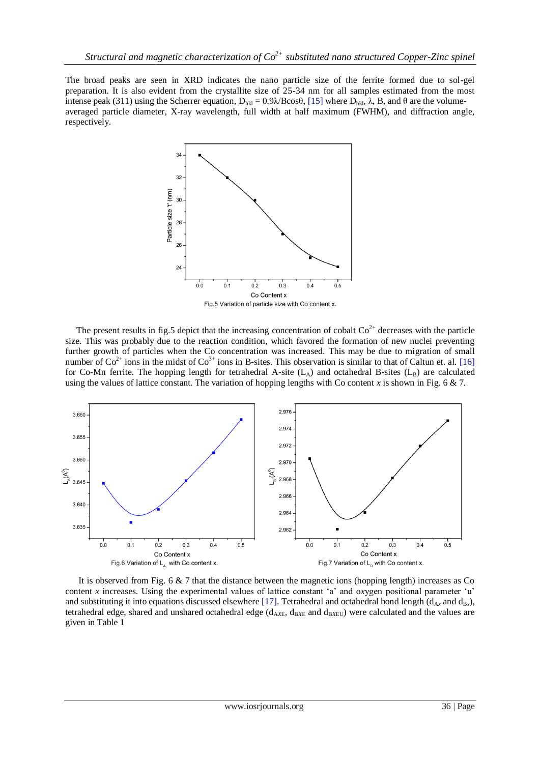The broad peaks are seen in XRD indicates the nano particle size of the ferrite formed due to sol-gel preparation. It is also evident from the crystallite size of 25-34 nm for all samples estimated from the most intense peak (311) using the Scherrer equation,  $D_{hkl} = 0.9\lambda$ /Bcosθ, [15] where  $D_{hkl}$ , λ, B, and θ are the volumeaveraged particle diameter, X-ray wavelength, full width at half maximum (FWHM), and diffraction angle, respectively.



The present results in fig.5 depict that the increasing concentration of cobalt  $\text{Co}^{2+}$  decreases with the particle size. This was probably due to the reaction condition, which favored the formation of new nuclei preventing further growth of particles when the Co concentration was increased. This may be due to migration of small number of  $Co^{2+}$  ions in the midst of  $Co^{3+}$  ions in B-sites. This observation is similar to that of Caltun et. al. [16] for Co-Mn ferrite. The hopping length for tetrahedral A-site  $(L_A)$  and octahedral B-sites  $(L_B)$  are calculated using the values of lattice constant. The variation of hopping lengths with Co content  $x$  is shown in Fig. 6  $\&$  7.



 It is observed from Fig. 6 & 7 that the distance between the magnetic ions (hopping length) increases as Co content *x* increases. Using the e*x*perimental values of lattice constant 'a' and o*x*ygen positional parameter 'u' and substituting it into equations discussed elsewhere [17]. Tetrahedral and octahedral bond length ( $d_{Ax}$  and  $d_{Bx}$ ), tetrahedral edge, shared and unshared octahedral edge ( $d_{AXF}$ ,  $d_{BXF}$  and  $d_{BXF}$ ) were calculated and the values are given in Table 1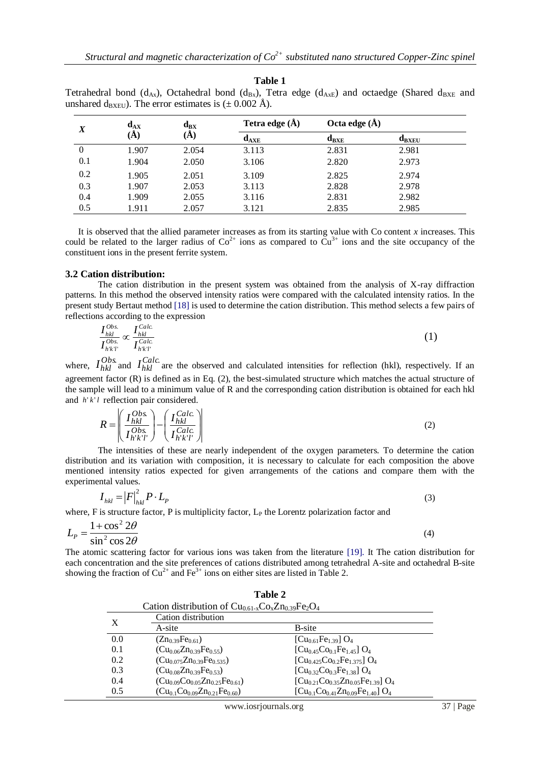| X   | $\mathbf{d}_{\mathbf{A}\mathbf{X}}$<br>(A) | $\mathbf{d}_{\mathrm{BX}}$<br>(A) | Tetra edge $(\AA)$ | Octa edge $(\AA)$ |            |
|-----|--------------------------------------------|-----------------------------------|--------------------|-------------------|------------|
|     |                                            |                                   | $d_{\text{AXE}}$   | $d_{BXE}$         | $d_{BXEU}$ |
|     | 1.907                                      | 2.054                             | 3.113              | 2.831             | 2.981      |
| 0.1 | 1.904                                      | 2.050                             | 3.106              | 2.820             | 2.973      |
| 0.2 | 1.905                                      | 2.051                             | 3.109              | 2.825             | 2.974      |
| 0.3 | 1.907                                      | 2.053                             | 3.113              | 2.828             | 2.978      |

**Table 1** Tetrahedral bond  $(d, \cdot)$  Octahedral bond  $(d_2, \cdot)$ . Tetra edge  $(d, \cdot)$  and octaedge (Shared days and

 It is observed that the allied parameter increases as from its starting value with Co content *x* increases. This could be related to the larger radius of  $Co^{2+}$  ions as compared to  $Cu^{3+}$  ions and the site occupancy of the constituent ions in the present ferrite system.

0.4 1.909 2.055 3.116 2.831 2.982 0.5 1.911 2.057 3.121 2.835 2.985

#### **3.2 Cation distribution:**

The cation distribution in the present system was obtained from the analysis of X-ray diffraction patterns. In this method the observed intensity ratios were compared with the calculated intensity ratios. In the present study Bertaut method [18] is used to determine the cation distribution. This method selects a few pairs of reflections according to the expression

$$
\frac{I_{hkl}^{Obs}}{I_{h'kT}^{Obs}} \propto \frac{I_{hkl}^{Calc}}{I_{h'kT}^{Calc}} \tag{1}
$$

where,  $I_{hkl}^{Obs}$  and  $I_{hkl}^{Calc}$  are the observed and calculated intensities for reflection (hkl), respectively. If an agreement factor (R) is defined as in Eq. (2), the best-simulated structure which matches the actual structure of the sample will lead to a minimum value of R and the corresponding cation distribution is obtained for each hkl and  $h'k'l$  reflection pair considered.

$$
R = \left(\frac{I_{hkl}^{Obs}}{I_{h'k'l'}^{Obs}}\right) - \left(\frac{I_{hkl}^{Calc.}}{I_{h'k'l'}^{Calc.}}\right) \tag{2}
$$

The intensities of these are nearly independent of the oxygen parameters. To determine the cation distribution and its variation with composition, it is necessary to calculate for each composition the above mentioned intensity ratios expected for given arrangements of the cations and compare them with the experimental values.

$$
I_{hkl} = |F|_{hkl}^2 P \cdot L_p \tag{3}
$$

where, F is structure factor, P is multiplicity factor,  $L_P$  the Lorentz polarization factor and

$$
L_p = \frac{1 + \cos^2 2\theta}{\sin^2 \cos 2\theta} \tag{4}
$$

The atomic scattering factor for various ions was taken from the literature [19]. It The cation distribution for each concentration and the site preferences of cations distributed among tetrahedral A-site and octahedral B-site showing the fraction of  $Cu^{2+}$  and  $Fe^{3+}$  ions on either sites are listed in Table 2.

|     | Table 2                                         |                                                         |  |  |  |
|-----|-------------------------------------------------|---------------------------------------------------------|--|--|--|
|     | Cation distribution of $Cu0.61-xCoxZn0.39Fe2O4$ |                                                         |  |  |  |
| X   | Cation distribution                             |                                                         |  |  |  |
|     | A-site                                          | B-site                                                  |  |  |  |
| 0.0 | $(Zn_{0.39}Fe_{0.61})$                          | $[Cu_{0.61}Fe_{1.39}]$ O <sub>4</sub>                   |  |  |  |
| 0.1 | $(Cu_{0.06}Zn_{0.39}Fe_{0.55})$                 | $[Cu_{0.45}Co_{0.1}Fe_{1.45}]$ O <sub>4</sub>           |  |  |  |
| 0.2 | $(Cu_{0.075}Zn_{0.39}Fe_{0.535})$               | $[Cu0.425Co0.2Fe1.375] O4$                              |  |  |  |
| 0.3 | $(Cu_{0.08}Zn_{0.39}Fe_{0.53})$                 | $[Cu_{0.32}Co_{0.3}Fe_{1.38}]$ O <sub>4</sub>           |  |  |  |
| 0.4 | $(Cu_{0.09}Co_{0.05}Zn_{0.25}Fe_{0.61})$        | $[Cu_{0.21}Co_{0.35}Zn_{0.05}Fe_{1.39}]$ O <sub>4</sub> |  |  |  |
| 0.5 | $(Cu_{0.1}Co_{0.09}Zn_{0.21}Fe_{0.60})$         | $[Cu_{0.1}Co_{0.41}Zn_{0.09}Fe_{1.40}]$ O <sub>4</sub>  |  |  |  |

www.iosrjournals.org 37 | Page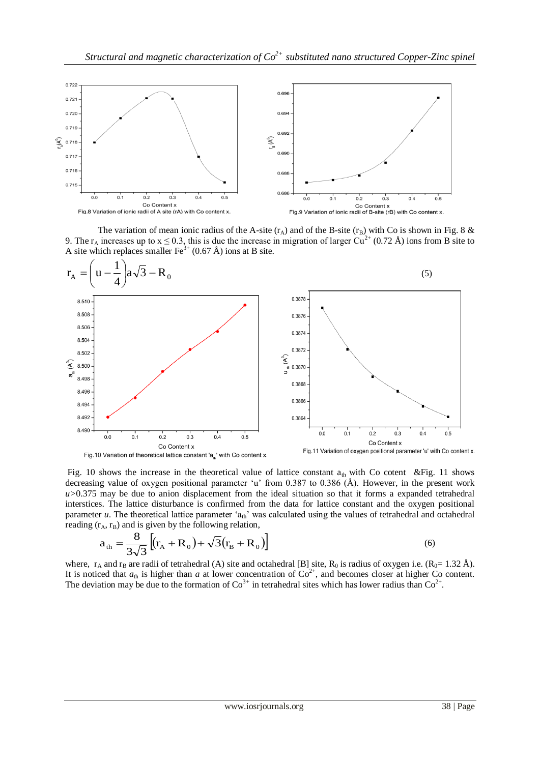

The variation of mean ionic radius of the A-site  $(r_A)$  and of the B-site  $(r_B)$  with Co is shown in Fig. 8 & 9. The r<sub>A</sub> increases up to  $x \le 0.3$ , this is due the increase in migration of larger Cu<sup>2+</sup> (0.72 Å) ions from B site to A site which replaces smaller  $\text{Fe}^{3+}$  (0.67 Å) ions at B site.



Fig. 10 shows the increase in the theoretical value of lattice constant  $a_{th}$  with Co cotent &Fig. 11 shows decreasing value of oxygen positional parameter 'u' from 0.387 to 0.386 ( $\AA$ ). However, in the present work *u>*0.375 may be due to anion displacement from the ideal situation so that it forms a expanded tetrahedral interstices. The lattice disturbance is confirmed from the data for lattice constant and the oxygen positional parameter *u*. The theoretical lattice parameter 'a<sub>th</sub>' was calculated using the values of tetrahedral and octahedral reading  $(r_A, r_B)$  and is given by the following relation,

$$
a_{\rm th} = \frac{8}{3\sqrt{3}} \left[ (r_{\rm A} + R_{\rm o}) + \sqrt{3} (r_{\rm B} + R_{\rm o}) \right]
$$
 (6)

where,  $r_A$  and  $r_B$  are radii of tetrahedral (A) site and octahedral [B] site, R<sub>0</sub> is radius of oxygen i.e. (R<sub>0</sub>= 1.32 Å). It is noticed that  $a_{th}$  is higher than *a* at lower concentration of  $Co^{2+}$ , and becomes closer at higher Co content. The deviation may be due to the formation of  $Co^{3+}$  in tetrahedral sites which has lower radius than  $Co^{2+}$ .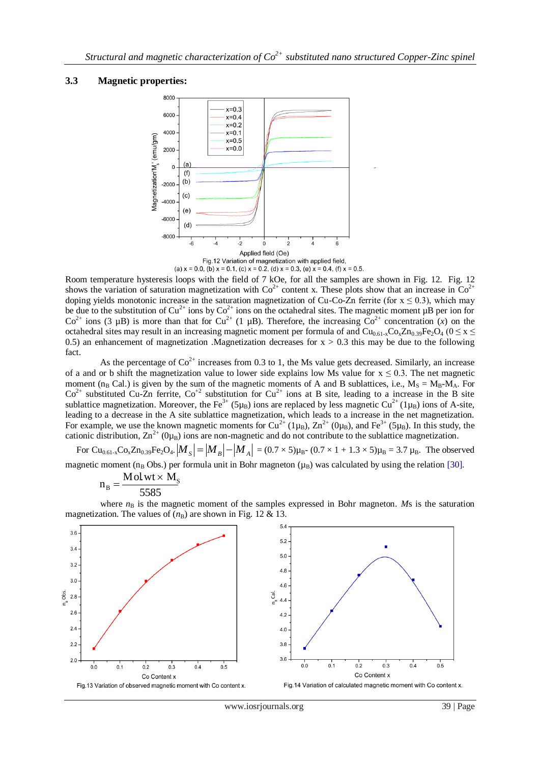## **3.3 Magnetic properties:**



Room temperature hysteresis loops with the field of 7 kOe, for all the samples are shown in Fig. 12. Fig. 12 shows the variation of saturation magnetization with  $Co^{2+}$  content x. These plots show that an increase in  $Co^{2+}$ doping yields monotonic increase in the saturation magnetization of Cu-Co-Zn ferrite (for  $x \le 0.3$ ), which may be due to the substitution of Cu<sup>2+</sup> ions by Co<sup>2+</sup> ions on the octahedral sites. The magnetic moment  $\mu$ B per ion for  $Co^{2+}$  ions (3 µB) is more than that for  $Cu^{2+}$  (1 µB). Therefore, the increasing  $Co^{2+}$  concentration (*x*) on the octahedral sites may result in an increasing magnetic moment per formula of and  $Cu_{0.61-x}Co_xZn_{0.39}Fe_2O_4$  ( $0 \le x \le$ 0.5) an enhancement of magnetization .Magnetization decreases for  $x > 0.3$  this may be due to the following fact.

As the percentage of  $Co^{2+}$  increases from 0.3 to 1, the Ms value gets decreased. Similarly, an increase of a and or b shift the magnetization value to lower side explains low Ms value for  $x \le 0.3$ . The net magnetic moment (n<sub>B</sub> Cal.) is given by the sum of the magnetic moments of A and B sublattices, i.e.,  $M_s = M_B-M_A$ . For  $Co<sup>2+</sup>$  substituted Cu-Zn ferrite,  $Co<sup>+2</sup>$  substitution for Cu<sup>2+</sup> ions at B site, leading to a increase in the B site sublattice magnetization. Moreover, the Fe<sup>3+</sup> (5<sub>µB</sub>) ions are replaced by less magnetic Cu<sup>2+</sup> (1<sub>µB</sub>) ions of A-site, leading to a decrease in the A site sublattice magnetization, which leads to a increase in the net magnetization. For example, we use the known magnetic moments for  $Cu^{2+} (1\mu_B)$ ,  $Zn^{2+} (0\mu_B)$ , and  $Fe^{3+} (5\mu_B)$ . In this study, the cationic distribution,  $\text{Zn}^{2+}$  ( $0\mu_B$ ) ions are non-magnetic and do not contribute to the sublattice magnetization.

For Cu<sub>0.61-x</sub>Co<sub>x</sub>Zn<sub>0.39</sub>Fe<sub>2</sub>O<sub>4</sub>.  $|M_S| = |M_B| - |M_A| = (0.7 \times 5)\mu_B$ -  $(0.7 \times 1 + 1.3 \times 5)\mu_B$  = 3.7  $\mu_B$ . The observed magnetic moment ( $n_B$  Obs.) per formula unit in Bohr magneton ( $\mu_B$ ) was calculated by using the relation [30].

$$
n_{\rm B} = \frac{Mol \, wt \times M_{\rm S}}{5585}
$$

where  $n<sub>B</sub>$  is the magnetic moment of the samples expressed in Bohr magneton. *Ms* is the saturation magnetization. The values of  $(n<sub>B</sub>)$  are shown in Fig. 12 & 13.

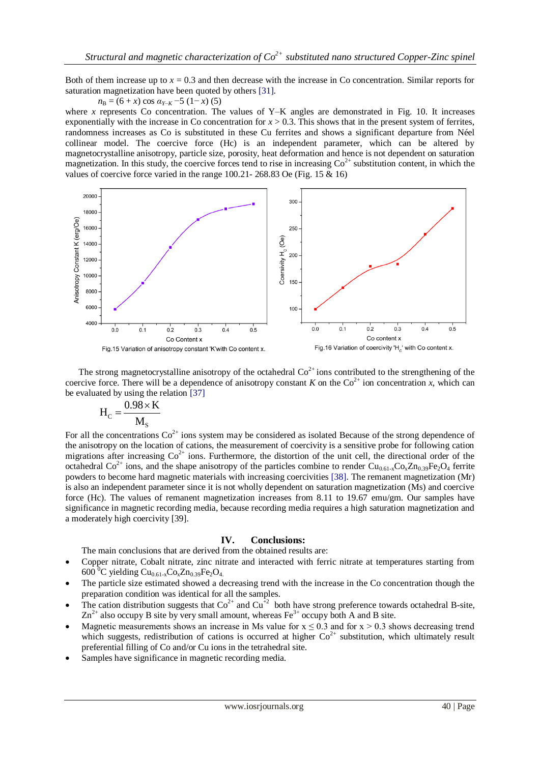Both of them increase up to  $x = 0.3$  and then decrease with the increase in Co concentration. Similar reports for saturation magnetization have been quoted by others [31].

 $n_{\rm B} = (6 + x) \cos \alpha_{Y-K} - 5 (1 - x) (5)$ 

where *x* represents Co concentration. The values of Y–K angles are demonstrated in Fig. 10. It increases exponentially with the increase in Co concentration for  $x > 0.3$ . This shows that in the present system of ferrites, randomness increases as Co is substituted in these Cu ferrites and shows a significant departure from Néel collinear model. The coercive force (Hc) is an independent parameter, which can be altered by magnetocrystalline anisotropy, particle size, porosity, heat deformation and hence is not dependent on saturation magnetization. In this study, the coercive forces tend to rise in increasing  $\text{Co}^{2+}$  substitution content, in which the values of coercive force varied in the range 100.21- 268.83 Oe (Fig. 15  $\&$  16)



The strong magnetocrystalline anisotropy of the octahedral  $Co<sup>2+</sup>$  ions contributed to the strengthening of the coercive force. There will be a dependence of anisotropy constant *K* on the  $\text{Co}^{2+}$  ion concentration *x*, which can be evaluated by using the relation [37]

$$
H_C = \frac{0.98 \times K}{M_s}
$$

For all the concentrations  $\text{Co}^{2+}$  ions system may be considered as isolated Because of the strong dependence of the anisotropy on the location of cations, the measurement of coercivity is a sensitive probe for following cation migrations after increasing  $Co^{2+}$  ions. Furthermore, the distortion of the unit cell, the directional order of the octahedral  $Co^{2+}$  ions, and the shape anisotropy of the particles combine to render  $Cu_{0.61-x}Co_xZn_{0.39}Fe_2O_4$  ferrite powders to become hard magnetic materials with increasing coercivities [38]. The remanent magnetization (Mr) is also an independent parameter since it is not wholly dependent on saturation magnetization (Ms) and coercive force (Hc). The values of remanent magnetization increases from 8.11 to 19.67 emu/gm. Our samples have significance in magnetic recording media, because recording media requires a high saturation magnetization and a moderately high coercivity [39].

## **IV. Conclusions:**

The main conclusions that are derived from the obtained results are:

- Copper nitrate, Cobalt nitrate, zinc nitrate and interacted with ferric nitrate at temperatures starting from 600 <sup>o</sup>C yielding Cu<sub>0.61-x</sub>Co<sub>x</sub>Zn<sub>0.39</sub>Fe<sub>2</sub>O<sub>4</sub>.
- The particle size estimated showed a decreasing trend with the increase in the Co concentration though the preparation condition was identical for all the samples.
- The cation distribution suggests that  $Co^{2+}$  and  $Cu^{+2}$  both have strong preference towards octahedral B-site,  $Zn^{2+}$  also occupy B site by very small amount, whereas Fe<sup>3+</sup> occupy both A and B site.
- Magnetic measurements shows an increase in Ms value for  $x \le 0.3$  and for  $x \ge 0.3$  shows decreasing trend which suggests, redistribution of cations is occurred at higher  $Co<sup>2+</sup>$  substitution, which ultimately result preferential filling of Co and/or Cu ions in the tetrahedral site.
- Samples have significance in magnetic recording media.